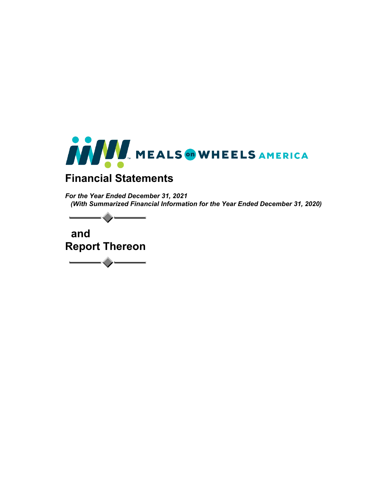

# **Financial Statements**

*For the Year Ended December 31, 2021 (With Summarized Financial Information for the Year Ended December 31, 2020)*

 **and Report Thereon**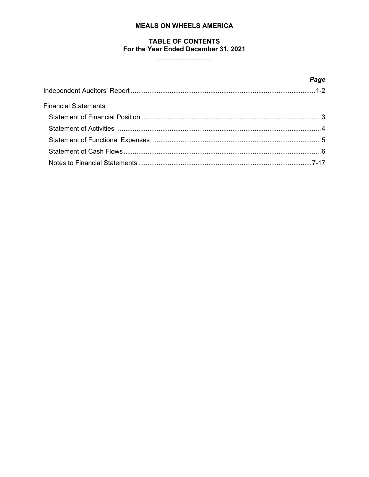# **TABLE OF CONTENTS** For the Year Ended December 31, 2021

|                             | Page |
|-----------------------------|------|
|                             |      |
| <b>Financial Statements</b> |      |
|                             |      |
|                             |      |
|                             |      |
|                             |      |
|                             |      |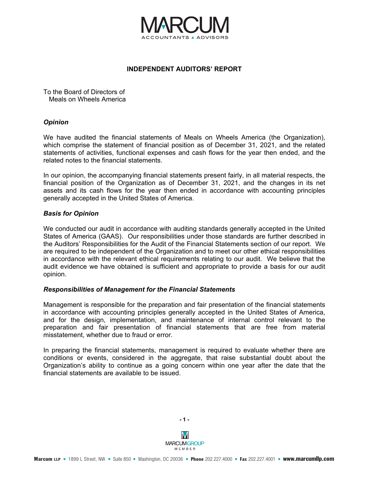

#### **INDEPENDENT AUDITORS' REPORT**

To the Board of Directors of Meals on Wheels America

#### *Opinion*

We have audited the financial statements of Meals on Wheels America (the Organization), which comprise the statement of financial position as of December 31, 2021, and the related statements of activities, functional expenses and cash flows for the year then ended, and the related notes to the financial statements.

In our opinion, the accompanying financial statements present fairly, in all material respects, the financial position of the Organization as of December 31, 2021, and the changes in its net assets and its cash flows for the year then ended in accordance with accounting principles generally accepted in the United States of America.

#### *Basis for Opinion*

We conducted our audit in accordance with auditing standards generally accepted in the United States of America (GAAS). Our responsibilities under those standards are further described in the Auditors' Responsibilities for the Audit of the Financial Statements section of our report. We are required to be independent of the Organization and to meet our other ethical responsibilities in accordance with the relevant ethical requirements relating to our audit. We believe that the audit evidence we have obtained is sufficient and appropriate to provide a basis for our audit opinion.

#### *Responsibilities of Management for the Financial Statements*

Management is responsible for the preparation and fair presentation of the financial statements in accordance with accounting principles generally accepted in the United States of America, and for the design, implementation, and maintenance of internal control relevant to the preparation and fair presentation of financial statements that are free from material misstatement, whether due to fraud or error.

In preparing the financial statements, management is required to evaluate whether there are conditions or events, considered in the aggregate, that raise substantial doubt about the Organization's ability to continue as a going concern within one year after the date that the financial statements are available to be issued.



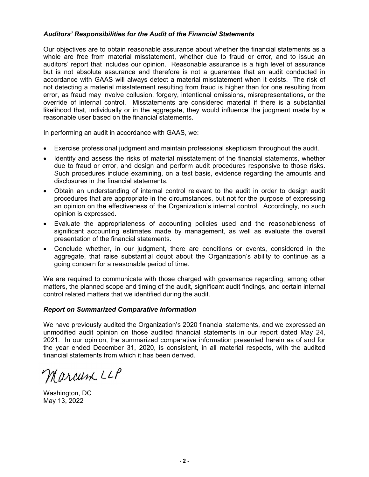## *Auditors' Responsibilities for the Audit of the Financial Statements*

Our objectives are to obtain reasonable assurance about whether the financial statements as a whole are free from material misstatement, whether due to fraud or error, and to issue an auditors' report that includes our opinion. Reasonable assurance is a high level of assurance but is not absolute assurance and therefore is not a guarantee that an audit conducted in accordance with GAAS will always detect a material misstatement when it exists. The risk of not detecting a material misstatement resulting from fraud is higher than for one resulting from error, as fraud may involve collusion, forgery, intentional omissions, misrepresentations, or the override of internal control. Misstatements are considered material if there is a substantial likelihood that, individually or in the aggregate, they would influence the judgment made by a reasonable user based on the financial statements.

In performing an audit in accordance with GAAS, we:

- Exercise professional judgment and maintain professional skepticism throughout the audit.
- Identify and assess the risks of material misstatement of the financial statements, whether due to fraud or error, and design and perform audit procedures responsive to those risks. Such procedures include examining, on a test basis, evidence regarding the amounts and disclosures in the financial statements.
- Obtain an understanding of internal control relevant to the audit in order to design audit procedures that are appropriate in the circumstances, but not for the purpose of expressing an opinion on the effectiveness of the Organization's internal control. Accordingly, no such opinion is expressed.
- Evaluate the appropriateness of accounting policies used and the reasonableness of significant accounting estimates made by management, as well as evaluate the overall presentation of the financial statements.
- Conclude whether, in our judgment, there are conditions or events, considered in the aggregate, that raise substantial doubt about the Organization's ability to continue as a going concern for a reasonable period of time.

We are required to communicate with those charged with governance regarding, among other matters, the planned scope and timing of the audit, significant audit findings, and certain internal control related matters that we identified during the audit.

#### *Report on Summarized Comparative Information*

We have previously audited the Organization's 2020 financial statements, and we expressed an unmodified audit opinion on those audited financial statements in our report dated May 24, 2021. In our opinion, the summarized comparative information presented herein as of and for the year ended December 31, 2020, is consistent, in all material respects, with the audited financial statements from which it has been derived.

Marcum LLP

Washington, DC May 13, 2022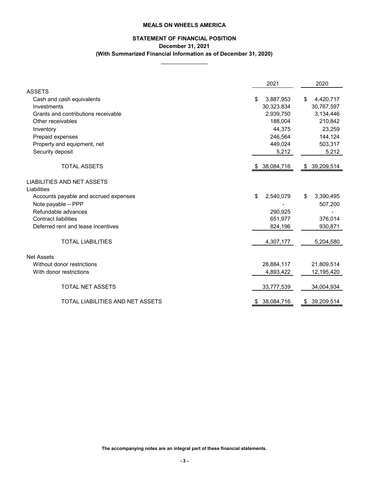# **STATEMENT OF FINANCIAL POSITION**

**December 31, 2021**

 $\overline{\phantom{a}}$  , where  $\overline{\phantom{a}}$ **(With Summarized Financial Information as of December 31, 2020)**

|                                       | 2021             | 2020             |
|---------------------------------------|------------------|------------------|
| <b>ASSETS</b>                         |                  |                  |
| Cash and cash equivalents             | \$<br>3,887,953  | 4,420,717<br>\$  |
| Investments                           | 30,323,834       | 30,767,597       |
| Grants and contributions receivable   | 2,939,750        | 3,134,446        |
| Other receivables                     | 188,004          | 210,842          |
| Inventory                             | 44,375           | 23,259           |
| Prepaid expenses                      | 246,564          | 144,124          |
| Property and equipment, net           | 449,024          | 503,317          |
| Security deposit                      | 5,212            | 5,212            |
| <b>TOTAL ASSETS</b>                   | \$38,084,716     | 39,209,514<br>\$ |
| <b>LIABILITIES AND NET ASSETS</b>     |                  |                  |
| Liabilities                           |                  |                  |
| Accounts payable and accrued expenses | \$<br>2,540,079  | 3,390,495<br>\$  |
| Note payable - PPP                    |                  | 507,200          |
| Refundable advances                   | 290,925          |                  |
| <b>Contract liabilities</b>           | 651,977          | 376,014          |
| Deferred rent and lease incentives    | 824,196          | 930,871          |
| <b>TOTAL LIABILITIES</b>              | 4,307,177        | 5,204,580        |
| <b>Net Assets</b>                     |                  |                  |
| Without donor restrictions            | 28,884,117       | 21,809,514       |
| With donor restrictions               | 4,893,422        | 12,195,420       |
| <b>TOTAL NET ASSETS</b>               | 33,777,539       | 34,004,934       |
| TOTAL LIABILITIES AND NET ASSETS      | 38,084,716<br>\$ | 39,209,514<br>\$ |

**The accompanying notes are an integral part of these financial statements.**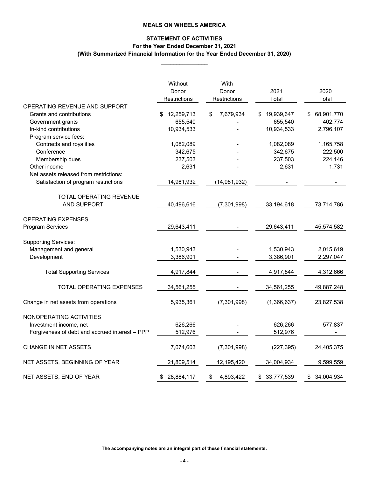# **STATEMENT OF ACTIVITIES For the Year Ended December 31, 2021 (With Summarized Financial Information for the Year Ended December 31, 2020)**

 $\overline{\phantom{a}}$  , where  $\overline{\phantom{a}}$ 

|                                                | Without<br>Donor  | With<br>Donor     | 2021             | 2020             |
|------------------------------------------------|-------------------|-------------------|------------------|------------------|
| OPERATING REVENUE AND SUPPORT                  | Restrictions      | Restrictions      | Total            | Total            |
| Grants and contributions                       | 12,259,713<br>\$. | 7,679,934<br>\$   | 19,939,647<br>S  | \$ 68,901,770    |
| Government grants                              | 655,540           |                   | 655,540          | 402,774          |
| In-kind contributions                          | 10,934,533        |                   | 10,934,533       | 2,796,107        |
| Program service fees:                          |                   |                   |                  |                  |
| Contracts and royalities                       | 1,082,089         |                   | 1,082,089        | 1,165,758        |
| Conference                                     | 342,675           |                   | 342,675          | 222,500          |
| Membership dues                                | 237,503           |                   | 237,503          | 224,146          |
| Other income                                   | 2,631             |                   | 2,631            | 1,731            |
| Net assets released from restrictions:         |                   |                   |                  |                  |
| Satisfaction of program restrictions           | 14,981,932        | (14, 981, 932)    |                  |                  |
| <b>TOTAL OPERATING REVENUE</b>                 |                   |                   |                  |                  |
| <b>AND SUPPORT</b>                             | 40,496,616        | (7,301,998)       | 33,194,618       | 73,714,786       |
| <b>OPERATING EXPENSES</b>                      |                   |                   |                  |                  |
| <b>Program Services</b>                        | 29,643,411        |                   | 29,643,411       | 45,574,582       |
| <b>Supporting Services:</b>                    |                   |                   |                  |                  |
| Management and general                         | 1,530,943         |                   | 1,530,943        | 2,015,619        |
| Development                                    | 3,386,901         |                   | 3,386,901        | 2,297,047        |
| <b>Total Supporting Services</b>               | 4,917,844         |                   | 4,917,844        | 4,312,666        |
| <b>TOTAL OPERATING EXPENSES</b>                | 34,561,255        |                   | 34,561,255       | 49,887,248       |
| Change in net assets from operations           | 5,935,361         | (7,301,998)       | (1,366,637)      | 23,827,538       |
| NONOPERATING ACTIVITIES                        |                   |                   |                  |                  |
| Investment income, net                         | 626,266           |                   | 626,266          | 577,837          |
| Forgiveness of debt and accrued interest - PPP | 512,976           |                   | 512,976          |                  |
| <b>CHANGE IN NET ASSETS</b>                    | 7,074,603         | (7,301,998)       | (227, 395)       | 24,405,375       |
| NET ASSETS, BEGINNING OF YEAR                  | 21,809,514        | 12,195,420        | 34,004,934       | 9,599,559        |
| NET ASSETS, END OF YEAR                        | \$28,884,117      | 4,893,422<br>- \$ | 33,777,539<br>\$ | 34,004,934<br>\$ |

**The accompanying notes are an integral part of these financial statements.**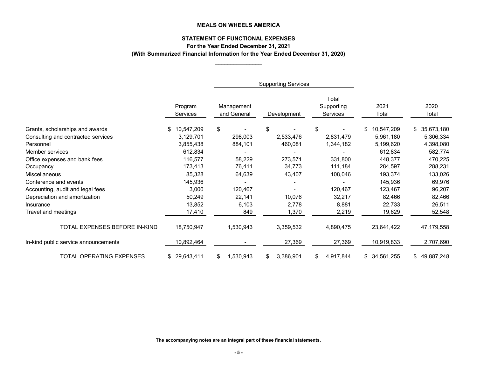# **STATEMENT OF FUNCTIONAL EXPENSES**

**For the Year Ended December 31, 2021**

# **(With Summarized Financial Information for the Year Ended December 31, 2020)**  $\mathcal{L}=\mathcal{L}^{\text{max}}$

|                                      |                     |                           | <b>Supporting Services</b> |                                 |                  |                  |
|--------------------------------------|---------------------|---------------------------|----------------------------|---------------------------------|------------------|------------------|
|                                      | Program<br>Services | Management<br>and General | Development                | Total<br>Supporting<br>Services | 2021<br>Total    | 2020<br>Total    |
| Grants, scholarships and awards      | 10,547,209<br>\$    | \$                        | \$                         | \$                              | 10,547,209<br>\$ | 35,673,180<br>\$ |
| Consulting and contracted services   | 3,129,701           | 298,003                   | 2,533,476                  | 2,831,479                       | 5,961,180        | 5,306,334        |
| Personnel                            | 3,855,438           | 884,101                   | 460,081                    | 1,344,182                       | 5,199,620        | 4,398,080        |
| Member services                      | 612,834             |                           |                            |                                 | 612,834          | 582,774          |
| Office expenses and bank fees        | 116,577             | 58,229                    | 273,571                    | 331,800                         | 448,377          | 470,225          |
| Occupancy                            | 173,413             | 76,411                    | 34,773                     | 111,184                         | 284,597          | 288,231          |
| Miscellaneous                        | 85,328              | 64,639                    | 43,407                     | 108,046                         | 193,374          | 133,026          |
| Conference and events                | 145,936             |                           |                            |                                 | 145,936          | 69,976           |
| Accounting, audit and legal fees     | 3,000               | 120,467                   |                            | 120,467                         | 123,467          | 96,207           |
| Depreciation and amortization        | 50,249              | 22,141                    | 10,076                     | 32,217                          | 82,466           | 82,466           |
| Insurance                            | 13,852              | 6,103                     | 2,778                      | 8,881                           | 22,733           | 26,511           |
| Travel and meetings                  | 17,410              | 849                       | 1,370                      | 2,219                           | 19,629           | 52,548           |
| TOTAL EXPENSES BEFORE IN-KIND        | 18,750,947          | 1,530,943                 | 3,359,532                  | 4,890,475                       | 23,641,422       | 47,179,558       |
| In-kind public service announcements | 10,892,464          |                           | 27,369                     | 27,369                          | 10,919,833       | 2,707,690        |
| <b>TOTAL OPERATING EXPENSES</b>      | 29,643,411<br>\$.   | 1,530,943                 | 3,386,901<br>\$            | 4,917,844<br>\$                 | 34,561,255<br>S. | 49,887,248<br>\$ |

**The accompanying notes are an integral part of these financial statements.**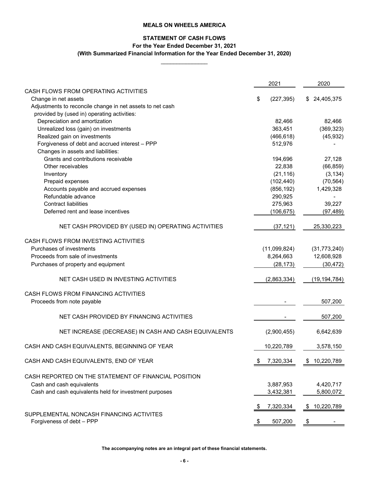# **STATEMENT OF CASH FLOWS**

**For the Year Ended December 31, 2021**

 $\overline{\phantom{a}}$  , where  $\overline{\phantom{a}}$ **(With Summarized Financial Information for the Year Ended December 31, 2020)**

|                                                                       |    | 2021         | 2020             |
|-----------------------------------------------------------------------|----|--------------|------------------|
| CASH FLOWS FROM OPERATING ACTIVITIES                                  |    |              |                  |
| Change in net assets                                                  | \$ | (227, 395)   | 24,405,375<br>\$ |
| Adjustments to reconcile change in net assets to net cash             |    |              |                  |
| provided by (used in) operating activities:                           |    |              |                  |
| Depreciation and amortization                                         |    | 82,466       | 82,466           |
| Unrealized loss (gain) on investments                                 |    | 363,451      | (369, 323)       |
| Realized gain on investments                                          |    | (466, 618)   | (45, 932)        |
| Forgiveness of debt and accrued interest - PPP                        |    | 512,976      |                  |
| Changes in assets and liabilities:                                    |    |              |                  |
| Grants and contributions receivable                                   |    | 194,696      | 27,128           |
| Other receivables                                                     |    | 22,838       | (66, 859)        |
| Inventory                                                             |    | (21, 116)    | (3, 134)         |
| Prepaid expenses                                                      |    | (102, 440)   | (70, 564)        |
| Accounts payable and accrued expenses                                 |    | (856, 192)   | 1,429,328        |
| Refundable advance                                                    |    | 290,925      |                  |
| <b>Contract liabilities</b>                                           |    | 275,963      | 39,227           |
| Deferred rent and lease incentives                                    |    | (106, 675)   | (97, 489)        |
| NET CASH PROVIDED BY (USED IN) OPERATING ACTIVITIES                   |    | (37, 121)    | 25,330,223       |
| CASH FLOWS FROM INVESTING ACTIVITIES                                  |    |              |                  |
| Purchases of investments                                              |    | (11,099,824) | (31, 773, 240)   |
| Proceeds from sale of investments                                     |    | 8,264,663    | 12,608,928       |
| Purchases of property and equipment                                   |    | (28, 173)    | (30, 472)        |
| NET CASH USED IN INVESTING ACTIVITIES                                 |    | (2,863,334)  | (19, 194, 784)   |
| CASH FLOWS FROM FINANCING ACTIVITIES                                  |    |              |                  |
| Proceeds from note payable                                            |    |              | 507,200          |
| NET CASH PROVIDED BY FINANCING ACTIVITIES                             |    |              | 507,200          |
| NET INCREASE (DECREASE) IN CASH AND CASH EQUIVALENTS                  |    | (2,900,455)  | 6,642,639        |
| CASH AND CASH EQUIVALENTS, BEGINNING OF YEAR                          |    | 10,220,789   | 3,578,150        |
| CASH AND CASH EQUIVALENTS, END OF YEAR                                | Ъ. | 7,320,334    | 10,220,789<br>\$ |
| CASH REPORTED ON THE STATEMENT OF FINANCIAL POSITION                  |    |              |                  |
| Cash and cash equivalents                                             |    | 3,887,953    | 4,420,717        |
| Cash and cash equivalents held for investment purposes                |    | 3,432,381    | 5,800,072        |
|                                                                       | æ. | 7,320,334    | 10,220,789<br>\$ |
| SUPPLEMENTAL NONCASH FINANCING ACTIVITES<br>Forgiveness of debt - PPP | \$ | 507,200      | \$               |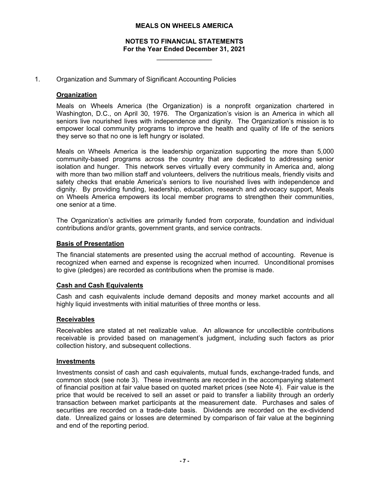### **NOTES TO FINANCIAL STATEMENTS For the Year Ended December 31, 2021**

 $\frac{1}{2}$ 

#### 1. Organization and Summary of Significant Accounting Policies

#### **Organization**

Meals on Wheels America (the Organization) is a nonprofit organization chartered in Washington, D.C., on April 30, 1976. The Organization's vision is an America in which all seniors live nourished lives with independence and dignity. The Organization's mission is to empower local community programs to improve the health and quality of life of the seniors they serve so that no one is left hungry or isolated.

Meals on Wheels America is the leadership organization supporting the more than 5,000 community-based programs across the country that are dedicated to addressing senior isolation and hunger. This network serves virtually every community in America and, along with more than two million staff and volunteers, delivers the nutritious meals, friendly visits and safety checks that enable America's seniors to live nourished lives with independence and dignity. By providing funding, leadership, education, research and advocacy support, Meals on Wheels America empowers its local member programs to strengthen their communities, one senior at a time.

The Organization's activities are primarily funded from corporate, foundation and individual contributions and/or grants, government grants, and service contracts.

#### **Basis of Presentation**

The financial statements are presented using the accrual method of accounting. Revenue is recognized when earned and expense is recognized when incurred. Unconditional promises to give (pledges) are recorded as contributions when the promise is made.

#### **Cash and Cash Equivalents**

Cash and cash equivalents include demand deposits and money market accounts and all highly liquid investments with initial maturities of three months or less.

#### **Receivables**

Receivables are stated at net realizable value. An allowance for uncollectible contributions receivable is provided based on management's judgment, including such factors as prior collection history, and subsequent collections.

#### **Investments**

Investments consist of cash and cash equivalents, mutual funds, exchange-traded funds, and common stock (see note 3). These investments are recorded in the accompanying statement of financial position at fair value based on quoted market prices (see Note 4). Fair value is the price that would be received to sell an asset or paid to transfer a liability through an orderly transaction between market participants at the measurement date. Purchases and sales of securities are recorded on a trade-date basis. Dividends are recorded on the ex-dividend date. Unrealized gains or losses are determined by comparison of fair value at the beginning and end of the reporting period.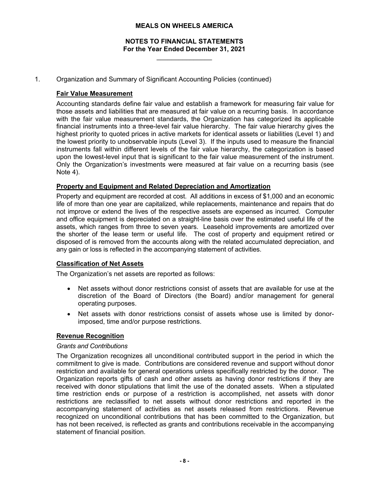### **NOTES TO FINANCIAL STATEMENTS For the Year Ended December 31, 2021**

 $\frac{1}{2}$ 

1. Organization and Summary of Significant Accounting Policies (continued)

#### **Fair Value Measurement**

Accounting standards define fair value and establish a framework for measuring fair value for those assets and liabilities that are measured at fair value on a recurring basis. In accordance with the fair value measurement standards, the Organization has categorized its applicable financial instruments into a three-level fair value hierarchy. The fair value hierarchy gives the highest priority to quoted prices in active markets for identical assets or liabilities (Level 1) and the lowest priority to unobservable inputs (Level 3). If the inputs used to measure the financial instruments fall within different levels of the fair value hierarchy, the categorization is based upon the lowest-level input that is significant to the fair value measurement of the instrument. Only the Organization's investments were measured at fair value on a recurring basis (see Note 4).

#### **Property and Equipment and Related Depreciation and Amortization**

Property and equipment are recorded at cost. All additions in excess of \$1,000 and an economic life of more than one year are capitalized, while replacements, maintenance and repairs that do not improve or extend the lives of the respective assets are expensed as incurred. Computer and office equipment is depreciated on a straight-line basis over the estimated useful life of the assets, which ranges from three to seven years. Leasehold improvements are amortized over the shorter of the lease term or useful life. The cost of property and equipment retired or disposed of is removed from the accounts along with the related accumulated depreciation, and any gain or loss is reflected in the accompanying statement of activities.

#### **Classification of Net Assets**

The Organization's net assets are reported as follows:

- Net assets without donor restrictions consist of assets that are available for use at the discretion of the Board of Directors (the Board) and/or management for general operating purposes.
- Net assets with donor restrictions consist of assets whose use is limited by donorimposed, time and/or purpose restrictions.

#### **Revenue Recognition**

#### *Grants and Contributions*

The Organization recognizes all unconditional contributed support in the period in which the commitment to give is made. Contributions are considered revenue and support without donor restriction and available for general operations unless specifically restricted by the donor. The Organization reports gifts of cash and other assets as having donor restrictions if they are received with donor stipulations that limit the use of the donated assets. When a stipulated time restriction ends or purpose of a restriction is accomplished, net assets with donor restrictions are reclassified to net assets without donor restrictions and reported in the accompanying statement of activities as net assets released from restrictions. Revenue recognized on unconditional contributions that has been committed to the Organization, but has not been received, is reflected as grants and contributions receivable in the accompanying statement of financial position.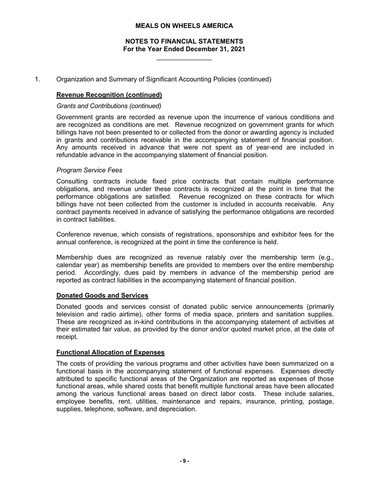### **NOTES TO FINANCIAL STATEMENTS For the Year Ended December 31, 2021**

 $\frac{1}{2}$ 

1. Organization and Summary of Significant Accounting Policies (continued)

#### **Revenue Recognition (continued)**

#### *Grants and Contributions (continued)*

Government grants are recorded as revenue upon the incurrence of various conditions and are recognized as conditions are met. Revenue recognized on government grants for which billings have not been presented to or collected from the donor or awarding agency is included in grants and contributions receivable in the accompanying statement of financial position. Any amounts received in advance that were not spent as of year-end are included in refundable advance in the accompanying statement of financial position.

#### *Program Service Fees*

Consulting contracts include fixed price contracts that contain multiple performance obligations, and revenue under these contracts is recognized at the point in time that the performance obligations are satisfied. Revenue recognized on these contracts for which billings have not been collected from the customer is included in accounts receivable. Any contract payments received in advance of satisfying the performance obligations are recorded in contract liabilities.

Conference revenue, which consists of registrations, sponsorships and exhibitor fees for the annual conference, is recognized at the point in time the conference is held.

Membership dues are recognized as revenue ratably over the membership term (e.g., calendar year) as membership benefits are provided to members over the entire membership period. Accordingly, dues paid by members in advance of the membership period are reported as contract liabilities in the accompanying statement of financial position.

#### **Donated Goods and Services**

Donated goods and services consist of donated public service announcements (primarily television and radio airtime), other forms of media space, printers and sanitation supplies. These are recognized as in-kind contributions in the accompanying statement of activities at their estimated fair value, as provided by the donor and/or quoted market price, at the date of receipt.

#### **Functional Allocation of Expenses**

The costs of providing the various programs and other activities have been summarized on a functional basis in the accompanying statement of functional expenses. Expenses directly attributed to specific functional areas of the Organization are reported as expenses of those functional areas, while shared costs that benefit multiple functional areas have been allocated among the various functional areas based on direct labor costs. These include salaries, employee benefits, rent, utilities, maintenance and repairs, insurance, printing, postage, supplies, telephone, software, and depreciation.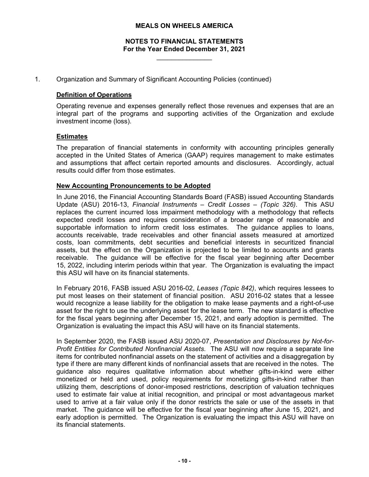#### **NOTES TO FINANCIAL STATEMENTS For the Year Ended December 31, 2021**  $\frac{1}{2}$

1. Organization and Summary of Significant Accounting Policies (continued)

#### **Definition of Operations**

Operating revenue and expenses generally reflect those revenues and expenses that are an integral part of the programs and supporting activities of the Organization and exclude investment income (loss).

#### **Estimates**

The preparation of financial statements in conformity with accounting principles generally accepted in the United States of America (GAAP) requires management to make estimates and assumptions that affect certain reported amounts and disclosures. Accordingly, actual results could differ from those estimates.

#### **New Accounting Pronouncements to be Adopted**

In June 2016, the Financial Accounting Standards Board (FASB) issued Accounting Standards Update (ASU) 2016-13, *Financial Instruments – Credit Losses – (Topic 326)*. This ASU replaces the current incurred loss impairment methodology with a methodology that reflects expected credit losses and requires consideration of a broader range of reasonable and supportable information to inform credit loss estimates. The guidance applies to loans, accounts receivable, trade receivables and other financial assets measured at amortized costs, loan commitments, debt securities and beneficial interests in securitized financial assets, but the effect on the Organization is projected to be limited to accounts and grants receivable. The guidance will be effective for the fiscal year beginning after December 15, 2022, including interim periods within that year. The Organization is evaluating the impact this ASU will have on its financial statements.

In February 2016, FASB issued ASU 2016-02, *Leases (Topic 842)*, which requires lessees to put most leases on their statement of financial position. ASU 2016-02 states that a lessee would recognize a lease liability for the obligation to make lease payments and a right-of-use asset for the right to use the underlying asset for the lease term. The new standard is effective for the fiscal years beginning after December 15, 2021, and early adoption is permitted. The Organization is evaluating the impact this ASU will have on its financial statements.

In September 2020, the FASB issued ASU 2020-07, *Presentation and Disclosures by Not-for-Profit Entities for Contributed Nonfinancial Assets*. The ASU will now require a separate line items for contributed nonfinancial assets on the statement of activities and a disaggregation by type if there are many different kinds of nonfinancial assets that are received in the notes. The guidance also requires qualitative information about whether gifts-in-kind were either monetized or held and used, policy requirements for monetizing gifts-in-kind rather than utilizing them, descriptions of donor-imposed restrictions, description of valuation techniques used to estimate fair value at initial recognition, and principal or most advantageous market used to arrive at a fair value only if the donor restricts the sale or use of the assets in that market. The guidance will be effective for the fiscal year beginning after June 15, 2021, and early adoption is permitted. The Organization is evaluating the impact this ASU will have on its financial statements.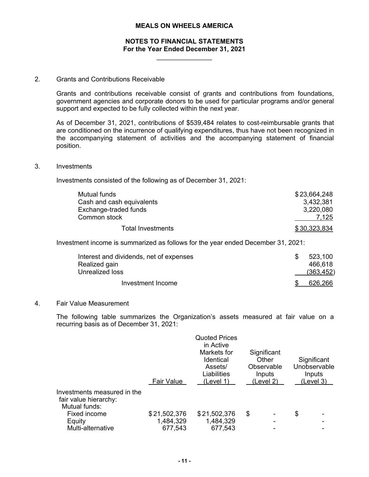### **NOTES TO FINANCIAL STATEMENTS For the Year Ended December 31, 2021**

 $\frac{1}{2}$ 

#### 2. Grants and Contributions Receivable

Grants and contributions receivable consist of grants and contributions from foundations, government agencies and corporate donors to be used for particular programs and/or general support and expected to be fully collected within the next year.

As of December 31, 2021, contributions of \$539,484 relates to cost-reimbursable grants that are conditioned on the incurrence of qualifying expenditures, thus have not been recognized in the accompanying statement of activities and the accompanying statement of financial position.

#### 3. Investments

Investments consisted of the following as of December 31, 2021:

| Mutual funds              | \$23,664,248 |
|---------------------------|--------------|
| Cash and cash equivalents | 3,432,381    |
| Exchange-traded funds     | 3,220,080    |
| Common stock              | 7.125        |
| Total Investments         | \$30,323,834 |

Investment income is summarized as follows for the year ended December 31, 2021:

| Interest and dividends, net of expenses<br>Realized gain<br>Unrealized loss | \$. | 523.100<br>466.618<br>(363, 452) |
|-----------------------------------------------------------------------------|-----|----------------------------------|
| Investment Income                                                           |     | 626,266                          |

#### 4. Fair Value Measurement

The following table summarizes the Organization's assets measured at fair value on a recurring basis as of December 31, 2021:

|                                                                       | <b>Fair Value</b> | <b>Quoted Prices</b><br>in Active<br>Markets for<br>Identical<br>Assets/<br>Liabilities<br>(Level 1) | Significant<br>Other<br>Observable<br>Inputs<br>(Level 2) | Significant<br>Unobservable<br>Inputs<br>(Level 3) |
|-----------------------------------------------------------------------|-------------------|------------------------------------------------------------------------------------------------------|-----------------------------------------------------------|----------------------------------------------------|
| Investments measured in the<br>fair value hierarchy:<br>Mutual funds: |                   |                                                                                                      |                                                           |                                                    |
| Fixed income                                                          | \$21,502,376      | \$21,502,376                                                                                         | \$                                                        | \$                                                 |
| Equity                                                                | 1,484,329         | 1,484,329                                                                                            |                                                           |                                                    |
| Multi-alternative                                                     | 677,543           | 677,543                                                                                              |                                                           |                                                    |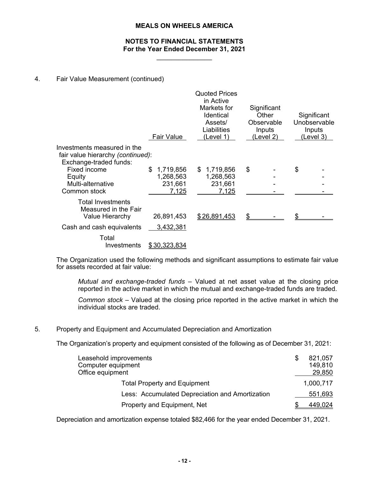## **NOTES TO FINANCIAL STATEMENTS For the Year Ended December 31, 2021**

 $\frac{1}{2}$ 

4. Fair Value Measurement (continued)

|                                                                                            | <b>Fair Value</b>    | <b>Quoted Prices</b><br>in Active<br>Markets for<br><b>Identical</b><br>Assets/<br>Liabilities<br>(Level 1) | Significant<br>Other<br>Observable<br>Inputs<br>(Level 2) | Significant<br>Unobservable<br>Inputs<br>(Level 3) |
|--------------------------------------------------------------------------------------------|----------------------|-------------------------------------------------------------------------------------------------------------|-----------------------------------------------------------|----------------------------------------------------|
| Investments measured in the<br>fair value hierarchy (continued):<br>Exchange-traded funds: |                      |                                                                                                             |                                                           |                                                    |
| <b>Fixed income</b>                                                                        | 1,719,856<br>\$      | 1,719,856<br>\$                                                                                             | \$                                                        | \$                                                 |
| Equity<br>Multi-alternative                                                                | 1,268,563<br>231,661 | 1,268,563<br>231,661                                                                                        |                                                           |                                                    |
| Common stock                                                                               | 7,125                | 7,125                                                                                                       |                                                           |                                                    |
| <b>Total Investments</b><br>Measured in the Fair<br><b>Value Hierarchy</b>                 | 26,891,453           | <u>\$26,891,453</u>                                                                                         |                                                           |                                                    |
|                                                                                            |                      |                                                                                                             |                                                           |                                                    |
| Cash and cash equivalents                                                                  | 3,432,381            |                                                                                                             |                                                           |                                                    |
| Total<br>Investments                                                                       | \$30,323,834         |                                                                                                             |                                                           |                                                    |

The Organization used the following methods and significant assumptions to estimate fair value for assets recorded at fair value:

*Mutual and exchange-traded funds* – Valued at net asset value at the closing price reported in the active market in which the mutual and exchange-traded funds are traded.

*Common stock* – Valued at the closing price reported in the active market in which the individual stocks are traded.

#### 5. Property and Equipment and Accumulated Depreciation and Amortization

The Organization's property and equipment consisted of the following as of December 31, 2021:

| Leasehold improvements<br>Computer equipment<br>Office equipment | \$. | 821,057<br>149,810<br>29,850 |
|------------------------------------------------------------------|-----|------------------------------|
| <b>Total Property and Equipment</b>                              |     | 1,000,717                    |
| Less: Accumulated Depreciation and Amortization                  |     | 551,693                      |
| Property and Equipment, Net                                      |     | 449 024                      |

Depreciation and amortization expense totaled \$82,466 for the year ended December 31, 2021.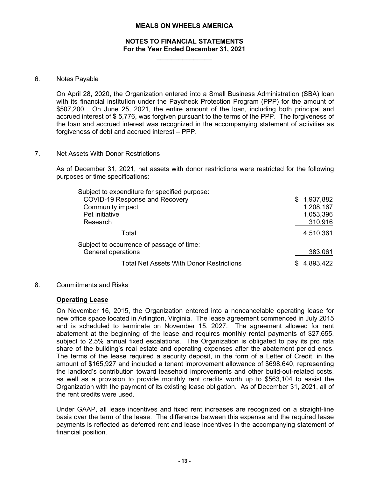#### **NOTES TO FINANCIAL STATEMENTS For the Year Ended December 31, 2021**

 $\frac{1}{2}$ 

#### 6. Notes Payable

On April 28, 2020, the Organization entered into a Small Business Administration (SBA) loan with its financial institution under the Paycheck Protection Program (PPP) for the amount of \$507,200. On June 25, 2021, the entire amount of the loan, including both principal and accrued interest of \$ 5,776, was forgiven pursuant to the terms of the PPP. The forgiveness of the loan and accrued interest was recognized in the accompanying statement of activities as forgiveness of debt and accrued interest – PPP.

#### 7. Net Assets With Donor Restrictions

As of December 31, 2021, net assets with donor restrictions were restricted for the following purposes or time specifications:

| Subject to expenditure for specified purpose:   |             |
|-------------------------------------------------|-------------|
| COVID-19 Response and Recovery                  | \$1,937,882 |
| Community impact                                | 1,208,167   |
| Pet initiative                                  | 1,053,396   |
| Research                                        | 310,916     |
| Total                                           | 4,510,361   |
| Subject to occurrence of passage of time:       |             |
| General operations                              | 383,061     |
| <b>Total Net Assets With Donor Restrictions</b> | 4,893,422   |

8. Commitments and Risks

#### **Operating Lease**

On November 16, 2015, the Organization entered into a noncancelable operating lease for new office space located in Arlington, Virginia. The lease agreement commenced in July 2015 and is scheduled to terminate on November 15, 2027. The agreement allowed for rent abatement at the beginning of the lease and requires monthly rental payments of \$27,655, subject to 2.5% annual fixed escalations. The Organization is obligated to pay its pro rata share of the building's real estate and operating expenses after the abatement period ends. The terms of the lease required a security deposit, in the form of a Letter of Credit, in the amount of \$165,927 and included a tenant improvement allowance of \$698,640, representing the landlord's contribution toward leasehold improvements and other build-out-related costs, as well as a provision to provide monthly rent credits worth up to \$563,104 to assist the Organization with the payment of its existing lease obligation. As of December 31, 2021, all of the rent credits were used.

Under GAAP, all lease incentives and fixed rent increases are recognized on a straight-line basis over the term of the lease. The difference between this expense and the required lease payments is reflected as deferred rent and lease incentives in the accompanying statement of financial position.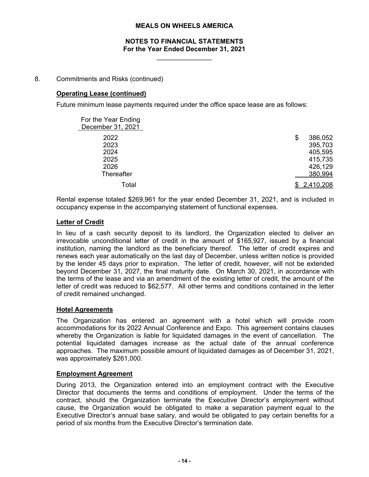#### **NOTES TO FINANCIAL STATEMENTS For the Year Ended December 31, 2021**

 $\frac{1}{2}$ 

#### 8. Commitments and Risks (continued)

#### **Operating Lease (continued)**

Future minimum lease payments required under the office space lease are as follows:

| 386,052<br>\$ |
|---------------|
| 395,703       |
| 405,595       |
| 415,735       |
| 426,129       |
| 380,994       |
| 2,410,208     |
|               |

Rental expense totaled \$269,961 for the year ended December 31, 2021, and is included in occupancy expense in the accompanying statement of functional expenses.

#### **Letter of Credit**

In lieu of a cash security deposit to its landlord, the Organization elected to deliver an irrevocable unconditional letter of credit in the amount of \$165,927, issued by a financial institution, naming the landlord as the beneficiary thereof. The letter of credit expires and renews each year automatically on the last day of December, unless written notice is provided by the lender 45 days prior to expiration. The letter of credit, however, will not be extended beyond December 31, 2027, the final maturity date. On March 30, 2021, in accordance with the terms of the lease and via an amendment of the existing letter of credit, the amount of the letter of credit was reduced to \$62,577. All other terms and conditions contained in the letter of credit remained unchanged.

#### **Hotel Agreements**

The Organization has entered an agreement with a hotel which will provide room accommodations for its 2022 Annual Conference and Expo. This agreement contains clauses whereby the Organization is liable for liquidated damages in the event of cancellation. The potential liquidated damages increase as the actual date of the annual conference approaches. The maximum possible amount of liquidated damages as of December 31, 2021, was approximately \$261,000.

#### **Employment Agreement**

During 2013, the Organization entered into an employment contract with the Executive Director that documents the terms and conditions of employment. Under the terms of the contract, should the Organization terminate the Executive Director's employment without cause, the Organization would be obligated to make a separation payment equal to the Executive Director's annual base salary, and would be obligated to pay certain benefits for a period of six months from the Executive Director's termination date.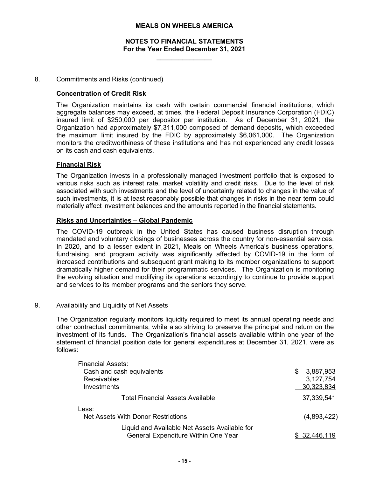#### **NOTES TO FINANCIAL STATEMENTS For the Year Ended December 31, 2021**

 $\frac{1}{2}$ 

#### 8. Commitments and Risks (continued)

#### **Concentration of Credit Risk**

The Organization maintains its cash with certain commercial financial institutions, which aggregate balances may exceed, at times, the Federal Deposit Insurance Corporation (FDIC) insured limit of \$250,000 per depositor per institution. As of December 31, 2021, the Organization had approximately \$7,311,000 composed of demand deposits, which exceeded the maximum limit insured by the FDIC by approximately \$6,061,000. The Organization monitors the creditworthiness of these institutions and has not experienced any credit losses on its cash and cash equivalents.

#### **Financial Risk**

The Organization invests in a professionally managed investment portfolio that is exposed to various risks such as interest rate, market volatility and credit risks. Due to the level of risk associated with such investments and the level of uncertainty related to changes in the value of such investments, it is at least reasonably possible that changes in risks in the near term could materially affect investment balances and the amounts reported in the financial statements.

#### **Risks and Uncertainties – Global Pandemic**

The COVID-19 outbreak in the United States has caused business disruption through mandated and voluntary closings of businesses across the country for non-essential services. In 2020, and to a lesser extent in 2021, Meals on Wheels America's business operations, fundraising, and program activity was significantly affected by COVID-19 in the form of increased contributions and subsequent grant making to its member organizations to support dramatically higher demand for their programmatic services. The Organization is monitoring the evolving situation and modifying its operations accordingly to continue to provide support and services to its member programs and the seniors they serve.

#### 9. Availability and Liquidity of Net Assets

The Organization regularly monitors liquidity required to meet its annual operating needs and other contractual commitments, while also striving to preserve the principal and return on the investment of its funds. The Organization's financial assets available within one year of the statement of financial position date for general expenditures at December 31, 2021, were as follows:

| <b>Financial Assets:</b>                      |                 |
|-----------------------------------------------|-----------------|
| Cash and cash equivalents                     | 3,887,953<br>S. |
| <b>Receivables</b>                            | 3,127,754       |
| Investments                                   | 30,323,834      |
| <b>Total Financial Assets Available</b>       | 37,339,541      |
| Less:                                         |                 |
| Net Assets With Donor Restrictions            | (4,893,422)     |
| Liquid and Available Net Assets Available for |                 |
| General Expenditure Within One Year           | \$32,446,119    |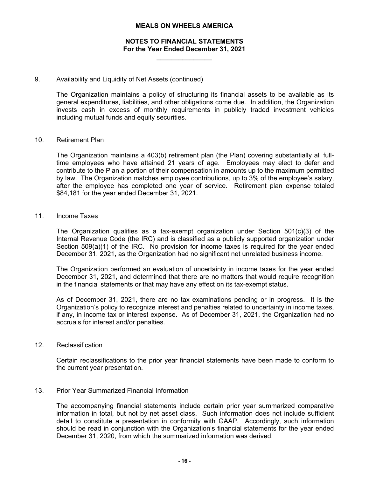#### **NOTES TO FINANCIAL STATEMENTS For the Year Ended December 31, 2021**

 $\frac{1}{2}$ 

#### 9. Availability and Liquidity of Net Assets (continued)

The Organization maintains a policy of structuring its financial assets to be available as its general expenditures, liabilities, and other obligations come due. In addition, the Organization invests cash in excess of monthly requirements in publicly traded investment vehicles including mutual funds and equity securities.

#### 10. Retirement Plan

The Organization maintains a 403(b) retirement plan (the Plan) covering substantially all fulltime employees who have attained 21 years of age. Employees may elect to defer and contribute to the Plan a portion of their compensation in amounts up to the maximum permitted by law. The Organization matches employee contributions, up to 3% of the employee's salary, after the employee has completed one year of service. Retirement plan expense totaled \$84,181 for the year ended December 31, 2021.

#### 11. Income Taxes

The Organization qualifies as a tax-exempt organization under Section 501(c)(3) of the Internal Revenue Code (the IRC) and is classified as a publicly supported organization under Section 509(a)(1) of the IRC. No provision for income taxes is required for the year ended December 31, 2021, as the Organization had no significant net unrelated business income.

The Organization performed an evaluation of uncertainty in income taxes for the year ended December 31, 2021, and determined that there are no matters that would require recognition in the financial statements or that may have any effect on its tax-exempt status.

As of December 31, 2021, there are no tax examinations pending or in progress. It is the Organization's policy to recognize interest and penalties related to uncertainty in income taxes, if any, in income tax or interest expense. As of December 31, 2021, the Organization had no accruals for interest and/or penalties.

#### 12. Reclassification

Certain reclassifications to the prior year financial statements have been made to conform to the current year presentation.

#### 13. Prior Year Summarized Financial Information

The accompanying financial statements include certain prior year summarized comparative information in total, but not by net asset class. Such information does not include sufficient detail to constitute a presentation in conformity with GAAP. Accordingly, such information should be read in conjunction with the Organization's financial statements for the year ended December 31, 2020, from which the summarized information was derived.